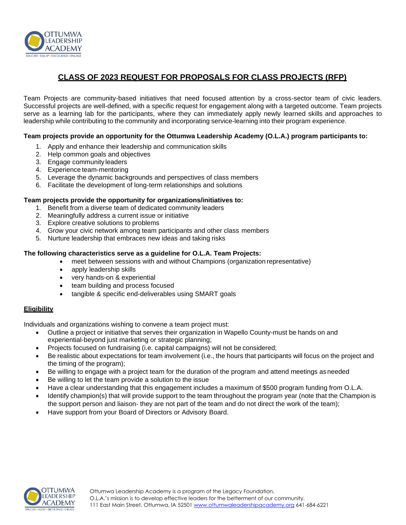

# **CLASS OF 2023 REQUEST FOR PROPOSALS FOR CLASS PROJECTS (RFP)**

Team Projects are community-based initiatives that need focused attention by a cross-sector team of civic leaders. Successful projects are well-defined, with a specific request for engagement along with a targeted outcome. Team projects serve as a learning lab for the participants, where they can immediately apply newly learned skills and approaches to leadership while contributing to the community and incorporating service-learning into their program experience.

## **Team projects provide an opportunity for the Ottumwa Leadership Academy (O.L.A.) program participants to:**

- 1. Apply and enhance their leadership and communication skills
- 2. Help common goals and objectives
- 3. Engage community leaders
- 4. Experience team-mentoring
- 5. Leverage the dynamic backgrounds and perspectives of class members
- 6. Facilitate the development of long-term relationships and solutions

#### **Team projects provide the opportunity for organizations/initiatives to:**

- 1. Benefit from a diverse team of dedicated community leaders
- 2. Meaningfully address a current issue or initiative
- 3. Explore creative solutions to problems
- 4. Grow your civic network among team participants and other class members
- 5. Nurture leadership that embraces new ideas and taking risks

#### **The following characteristics serve as a guideline for O.L.A. Team Projects:**

- meet between sessions with and without Champions (organization representative)
- apply leadership skills
- very hands-on & experiential
- team building and process focused
- tangible & specific end-deliverables using SMART goals

## **Eligibility**

Individuals and organizations wishing to convene a team project must:

- Outline a project or initiative that serves their organization in Wapello County-must be hands on and experiential-beyond just marketing or strategic planning;
- Projects focused on fundraising (i.e. capital campaigns) will not be considered;
- Be realistic about expectations for team involvement (i.e., the hours that participants will focus on the project and the timing of the program);
- Be willing to engage with a project team for the duration of the program and attend meetings asneeded
- Be willing to let the team provide a solution to the issue
- Have a clear understanding that this engagement includes a maximum of \$500 program funding from O.L.A.
- Identify champion(s) that will provide support to the team throughout the program year (note that the Champion is the support person and liaison- they are not part of the team and do not direct the work of the team);
- Have support from your Board of Directors or Advisory Board.

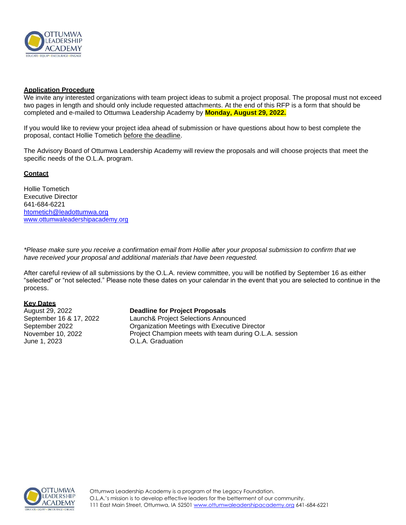

## **Application Procedure**

We invite any interested organizations with team project ideas to submit a project proposal. The proposal must not exceed two pages in length and should only include requested attachments. At the end of this RFP is a form that should be completed and e-mailed to Ottumwa Leadership Academy by **Monday, August 29, 2022.**

If you would like to review your project idea ahead of submission or have questions about how to best complete the proposal, contact Hollie Tometich before the deadline.

The Advisory Board of Ottumwa Leadership Academy will review the proposals and will choose projects that meet the specific needs of the O.L.A. program.

#### **Contact**

Hollie Tometich Executive Director 641-684-6221 [htometich@leadottumwa.org](mailto:htometich@leadottumwa.org) [www.ottumwaleadershipacademy.org](http://www.ottumwaleadershipacademy.org/)

*\*Please make sure you receive a confirmation email from Hollie after your proposal submission to confirm that we have received your proposal and additional materials that have been requested.*

After careful review of all submissions by the O.L.A. review committee, you will be notified by September 16 as either "selected" or "not selected." Please note these dates on your calendar in the event that you are selected to continue in the process.

## **Key Dates**

August 29, 2022 September 16 & 17, 2022 September 2022 November 10, 2022 June 1, 2023

#### **Deadline for Project Proposals**

Launch& Project Selections Announced Organization Meetings with Executive Director Project Champion meets with team during O.L.A. session O.L.A. Graduation